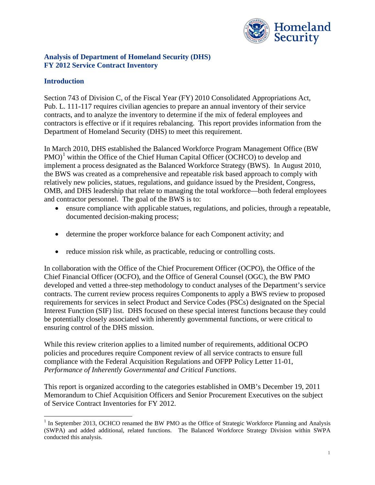

#### **Analysis of Department of Homeland Security (DHS) FY 2012 Service Contract Inventory**

### **Introduction**

Section 743 of Division C, of the Fiscal Year (FY) 2010 Consolidated Appropriations Act, Pub. L. 111-117 requires civilian agencies to prepare an annual inventory of their service contracts, and to analyze the inventory to determine if the mix of federal employees and contractors is effective or if it requires rebalancing. This report provides information from the Department of Homeland Security (DHS) to meet this requirement.

In March 2010, DHS established the Balanced Workforce Program Management Office (BW  $PMO$ <sup>[1](#page-0-0)</sup> within the Office of the Chief Human Capital Officer (OCHCO) to develop and implement a process designated as the Balanced Workforce Strategy (BWS). In August 2010, the BWS was created as a comprehensive and repeatable risk based approach to comply with relatively new policies, statues, regulations, and guidance issued by the President, Congress, OMB, and DHS leadership that relate to managing the total workforce—both federal employees and contractor personnel. The goal of the BWS is to:

- ensure compliance with applicable statues, regulations, and policies, through a repeatable, documented decision-making process;
- determine the proper workforce balance for each Component activity; and
- reduce mission risk while, as practicable, reducing or controlling costs.

In collaboration with the Office of the Chief Procurement Officer (OCPO), the Office of the Chief Financial Officer (OCFO), and the Office of General Counsel (OGC), the BW PMO developed and vetted a three-step methodology to conduct analyses of the Department's service contracts. The current review process requires Components to apply a BWS review to proposed requirements for services in select Product and Service Codes (PSCs) designated on the Special Interest Function (SIF) list. DHS focused on these special interest functions because they could be potentially closely associated with inherently governmental functions, or were critical to ensuring control of the DHS mission.

While this review criterion applies to a limited number of requirements, additional OCPO policies and procedures require Component review of all service contracts to ensure full compliance with the Federal Acquisition Regulations and OFPP Policy Letter 11-01, *Performance of Inherently Governmental and Critical Functions*.

This report is organized according to the categories established in OMB's December 19, 2011 Memorandum to Chief Acquisition Officers and Senior Procurement Executives on the subject of Service Contract Inventories for FY 2012.

<span id="page-0-0"></span><sup>&</sup>lt;sup>1</sup> In September 2013, OCHCO renamed the BW PMO as the Office of Strategic Workforce Planning and Analysis (SWPA) and added additional, related functions. The Balanced Workforce Strategy Division within SWPA conducted this analysis.  $\overline{a}$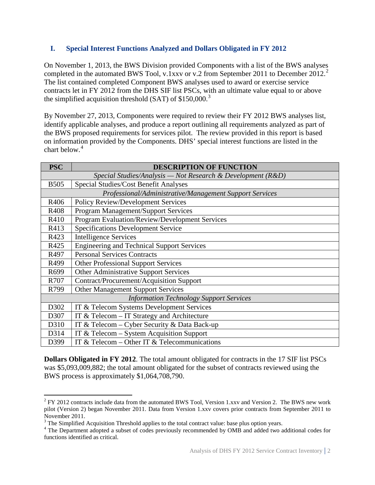### **I. Special Interest Functions Analyzed and Dollars Obligated in FY 2012**

On November 1, 2013, the BWS Division provided Components with a list of the BWS analyses completed in the automated BWS Tool, v.1xxv or v.[2](#page-1-0) from September 2011 to December 2012.<sup>2</sup> The list contained completed Component BWS analyses used to award or exercise service contracts let in FY 2012 from the DHS SIF list PSCs, with an ultimate value equal to or above the simplified acquisition threshold (SAT) of  $$150,000.<sup>3</sup>$  $$150,000.<sup>3</sup>$  $$150,000.<sup>3</sup>$ 

By November 27, 2013, Components were required to review their FY 2012 BWS analyses list, identify applicable analyses, and produce a report outlining all requirements analyzed as part of the BWS proposed requirements for services pilot. The review provided in this report is based on information provided by the Components. DHS' special interest functions are listed in the chart below.<sup>[4](#page-1-2)</sup>

| <b>PSC</b>                                                      | <b>DESCRIPTION OF FUNCTION</b>                        |  |  |  |
|-----------------------------------------------------------------|-------------------------------------------------------|--|--|--|
| Special Studies/Analysis — Not Research & Development ( $R&D$ ) |                                                       |  |  |  |
| <b>B505</b>                                                     | <b>Special Studies/Cost Benefit Analyses</b>          |  |  |  |
| Professional/Administrative/Management Support Services         |                                                       |  |  |  |
| R406                                                            | <b>Policy Review/Development Services</b>             |  |  |  |
| R408                                                            | Program Management/Support Services                   |  |  |  |
| R410                                                            | <b>Program Evaluation/Review/Development Services</b> |  |  |  |
| R413                                                            | <b>Specifications Development Service</b>             |  |  |  |
| R423                                                            | <b>Intelligence Services</b>                          |  |  |  |
| R425                                                            | <b>Engineering and Technical Support Services</b>     |  |  |  |
| R497                                                            | <b>Personal Services Contracts</b>                    |  |  |  |
| R499                                                            | <b>Other Professional Support Services</b>            |  |  |  |
| R <sub>699</sub>                                                | Other Administrative Support Services                 |  |  |  |
| R707                                                            | Contract/Procurement/Acquisition Support              |  |  |  |
| R799                                                            | <b>Other Management Support Services</b>              |  |  |  |
| <b>Information Technology Support Services</b>                  |                                                       |  |  |  |
| D302                                                            | IT & Telecom Systems Development Services             |  |  |  |
| D307                                                            | IT & Telecom - IT Strategy and Architecture           |  |  |  |
| D310                                                            | IT & Telecom – Cyber Security & Data Back-up          |  |  |  |
| D314                                                            | IT & Telecom - System Acquisition Support             |  |  |  |
| D399                                                            | IT & Telecom – Other IT & Telecommunications          |  |  |  |

**Dollars Obligated in FY 2012**. The total amount obligated for contracts in the 17 SIF list PSCs was \$5,093,009,882; the total amount obligated for the subset of contracts reviewed using the BWS process is approximately \$1,064,708,790.

 $\overline{a}$ 

<span id="page-1-0"></span> $2$  FY 2012 contracts include data from the automated BWS Tool, Version 1.xxv and Version 2. The BWS new work pilot (Version 2) began November 2011. Data from Version 1.xxv covers prior contracts from September 2011 to November 2011.<br><sup>3</sup> The Simplified Acquisition Threshold applies to the total contract value: base plus option years.

<span id="page-1-2"></span><span id="page-1-1"></span><sup>&</sup>lt;sup>4</sup> The Department adopted a subset of codes previously recommended by OMB and added two additional codes for functions identified as critical.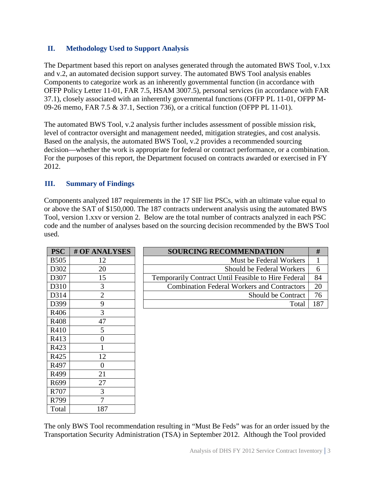## **II. Methodology Used to Support Analysis**

The Department based this report on analyses generated through the automated BWS Tool, v.1xx and v.2, an automated decision support survey. The automated BWS Tool analysis enables Components to categorize work as an inherently governmental function (in accordance with OFFP Policy Letter 11-01, FAR 7.5, HSAM 3007.5), personal services (in accordance with FAR 37.1), closely associated with an inherently governmental functions (OFFP PL 11-01, OFPP M-09-26 memo, FAR 7.5 & 37.1, Section 736), or a critical function (OFPP PL 11-01).

The automated BWS Tool, v.2 analysis further includes assessment of possible mission risk, level of contractor oversight and management needed, mitigation strategies, and cost analysis. Based on the analysis, the automated BWS Tool, v.2 provides a recommended sourcing decision—whether the work is appropriate for federal or contract performance, or a combination. For the purposes of this report, the Department focused on contracts awarded or exercised in FY 2012.

# **III. Summary of Findings**

Components analyzed 187 requirements in the 17 SIF list PSCs, with an ultimate value equal to or above the SAT of \$150,000. The 187 contracts underwent analysis using the automated BWS Tool, version 1.xxv or version 2. Below are the total number of contracts analyzed in each PSC code and the number of analyses based on the sourcing decision recommended by the BWS Tool used.

| <b>PSC</b>  | <b># OF ANALYSES</b> |
|-------------|----------------------|
| <b>B505</b> | 12                   |
| D302        | 20                   |
| D307        | 15                   |
| D310        | 3                    |
| D314        | $\overline{2}$       |
| D399        | 9                    |
| R406        | 3                    |
| R408        | 47                   |
| R410        | 5                    |
| R413        | $\overline{0}$       |
| R423        | 1                    |
| R425        | 12                   |
| R497        | $\overline{0}$       |
| R499        | 21                   |
| R699        | 27                   |
| R707        | 3                    |
| R799        |                      |
| Total       | 187                  |

| # OF ANALYSES | <b>SOURCING RECOMMENDATION</b>                      |     |
|---------------|-----------------------------------------------------|-----|
|               | Must be Federal Workers                             |     |
| 20            | Should be Federal Workers                           |     |
| 15            | Temporarily Contract Until Feasible to Hire Federal | 84  |
|               | <b>Combination Federal Workers and Contractors</b>  | 20  |
|               | Should be Contract                                  | 76  |
|               | Total                                               | 187 |
|               |                                                     |     |

The only BWS Tool recommendation resulting in "Must Be Feds" was for an order issued by the Transportation Security Administration (TSA) in September 2012. Although the Tool provided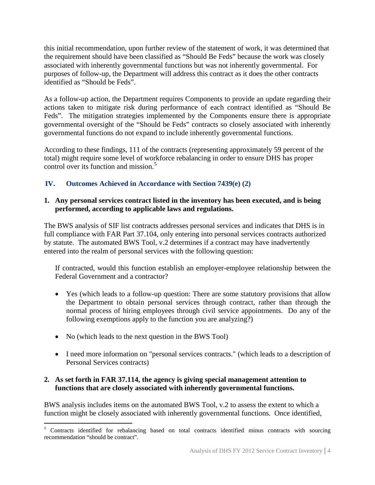this initial recommendation, upon further review of the statement of work, it was determined that the requirement should have been classified as "Should Be Feds" because the work was closely associated with inherently governmental functions but was not inherently governmental. For purposes of follow-up, the Department will address this contract as it does the other contracts identified as "Should be Feds".

As a follow-up action, the Department requires Components to provide an update regarding their actions taken to mitigate risk during performance of each contract identified as "Should Be Feds". The mitigation strategies implemented by the Components ensure there is appropriate governmental oversight of the "Should be Feds" contracts so closely associated with inherently governmental functions do not expand to include inherently governmental functions.

According to these findings, 111 of the contracts (representing approximately 59 percent of the total) might require some level of workforce rebalancing in order to ensure DHS has proper control over its function and mission. [5](#page-3-0)

# **IV. Outcomes Achieved in Accordance with Section 7439(e) (2)**

#### **1. Any personal services contract listed in the inventory has been executed, and is being performed, according to applicable laws and regulations.**

The BWS analysis of SIF list contracts addresses personal services and indicates that DHS is in full compliance with FAR Part 37.104, only entering into personal services contracts authorized by statute. The automated BWS Tool, v.2 determines if a contract may have inadvertently entered into the realm of personal services with the following question:

If contracted, would this function establish an employer-employee relationship between the Federal Government and a contractor?

- Yes (which leads to a follow-up question: There are some statutory provisions that allow the Department to obtain personal services through contract, rather than through the normal process of hiring employees through civil service appointments. Do any of the following exemptions apply to the function you are analyzing?)
- No (which leads to the next question in the BWS Tool)
- I need more information on "personal services contracts." (which leads to a description of Personal Services contracts)

#### **2. As set forth in FAR 37.114, the agency is giving special management attention to functions that are closely associated with inherently governmental functions.**

BWS analysis includes items on the automated BWS Tool, v.2 to assess the extent to which a function might be closely associated with inherently governmental functions. Once identified,

<span id="page-3-0"></span><sup>&</sup>lt;sup>5</sup> Contracts identified for rebalancing based on total contracts identified minus contracts with sourcing recommendation "should be contract".  $\overline{a}$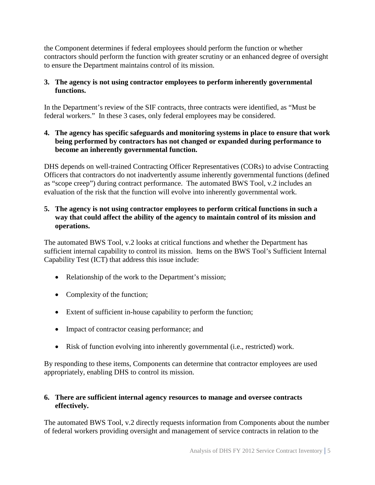the Component determines if federal employees should perform the function or whether contractors should perform the function with greater scrutiny or an enhanced degree of oversight to ensure the Department maintains control of its mission.

# **3. The agency is not using contractor employees to perform inherently governmental functions.**

In the Department's review of the SIF contracts, three contracts were identified, as "Must be federal workers." In these 3 cases, only federal employees may be considered.

# **4. The agency has specific safeguards and monitoring systems in place to ensure that work being performed by contractors has not changed or expanded during performance to become an inherently governmental function.**

DHS depends on well-trained Contracting Officer Representatives (CORs) to advise Contracting Officers that contractors do not inadvertently assume inherently governmental functions (defined as "scope creep") during contract performance. The automated BWS Tool, v.2 includes an evaluation of the risk that the function will evolve into inherently governmental work.

# **5. The agency is not using contractor employees to perform critical functions in such a way that could affect the ability of the agency to maintain control of its mission and operations.**

The automated BWS Tool, v.2 looks at critical functions and whether the Department has sufficient internal capability to control its mission. Items on the BWS Tool's Sufficient Internal Capability Test (ICT) that address this issue include:

- Relationship of the work to the Department's mission;
- Complexity of the function;
- Extent of sufficient in-house capability to perform the function;
- Impact of contractor ceasing performance; and
- Risk of function evolving into inherently governmental (i.e., restricted) work.

By responding to these items, Components can determine that contractor employees are used appropriately, enabling DHS to control its mission.

# **6. There are sufficient internal agency resources to manage and oversee contracts effectively.**

The automated BWS Tool, v.2 directly requests information from Components about the number of federal workers providing oversight and management of service contracts in relation to the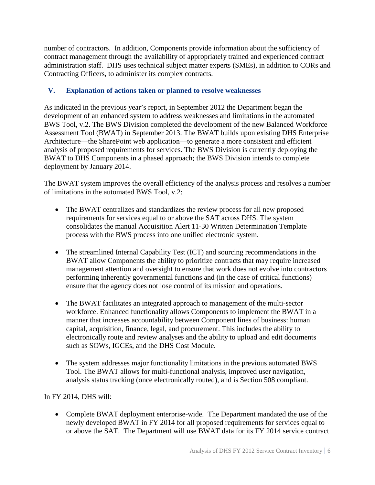number of contractors. In addition, Components provide information about the sufficiency of contract management through the availability of appropriately trained and experienced contract administration staff. DHS uses technical subject matter experts (SMEs), in addition to CORs and Contracting Officers, to administer its complex contracts.

# **V. Explanation of actions taken or planned to resolve weaknesses**

As indicated in the previous year's report, in September 2012 the Department began the development of an enhanced system to address weaknesses and limitations in the automated BWS Tool, v.2. The BWS Division completed the development of the new Balanced Workforce Assessment Tool (BWAT) in September 2013. The BWAT builds upon existing DHS Enterprise Architecture—the SharePoint web application—to generate a more consistent and efficient analysis of proposed requirements for services. The BWS Division is currently deploying the BWAT to DHS Components in a phased approach; the BWS Division intends to complete deployment by January 2014.

The BWAT system improves the overall efficiency of the analysis process and resolves a number of limitations in the automated BWS Tool, v.2:

- The BWAT centralizes and standardizes the review process for all new proposed requirements for services equal to or above the SAT across DHS. The system consolidates the manual Acquisition Alert 11-30 Written Determination Template process with the BWS process into one unified electronic system.
- The streamlined Internal Capability Test (ICT) and sourcing recommendations in the BWAT allow Components the ability to prioritize contracts that may require increased management attention and oversight to ensure that work does not evolve into contractors performing inherently governmental functions and (in the case of critical functions) ensure that the agency does not lose control of its mission and operations.
- The BWAT facilitates an integrated approach to management of the multi-sector workforce. Enhanced functionality allows Components to implement the BWAT in a manner that increases accountability between Component lines of business: human capital, acquisition, finance, legal, and procurement. This includes the ability to electronically route and review analyses and the ability to upload and edit documents such as SOWs, IGCEs, and the DHS Cost Module.
- The system addresses major functionality limitations in the previous automated BWS Tool. The BWAT allows for multi-functional analysis, improved user navigation, analysis status tracking (once electronically routed), and is Section 508 compliant.

In FY 2014, DHS will:

• Complete BWAT deployment enterprise-wide. The Department mandated the use of the newly developed BWAT in FY 2014 for all proposed requirements for services equal to or above the SAT. The Department will use BWAT data for its FY 2014 service contract